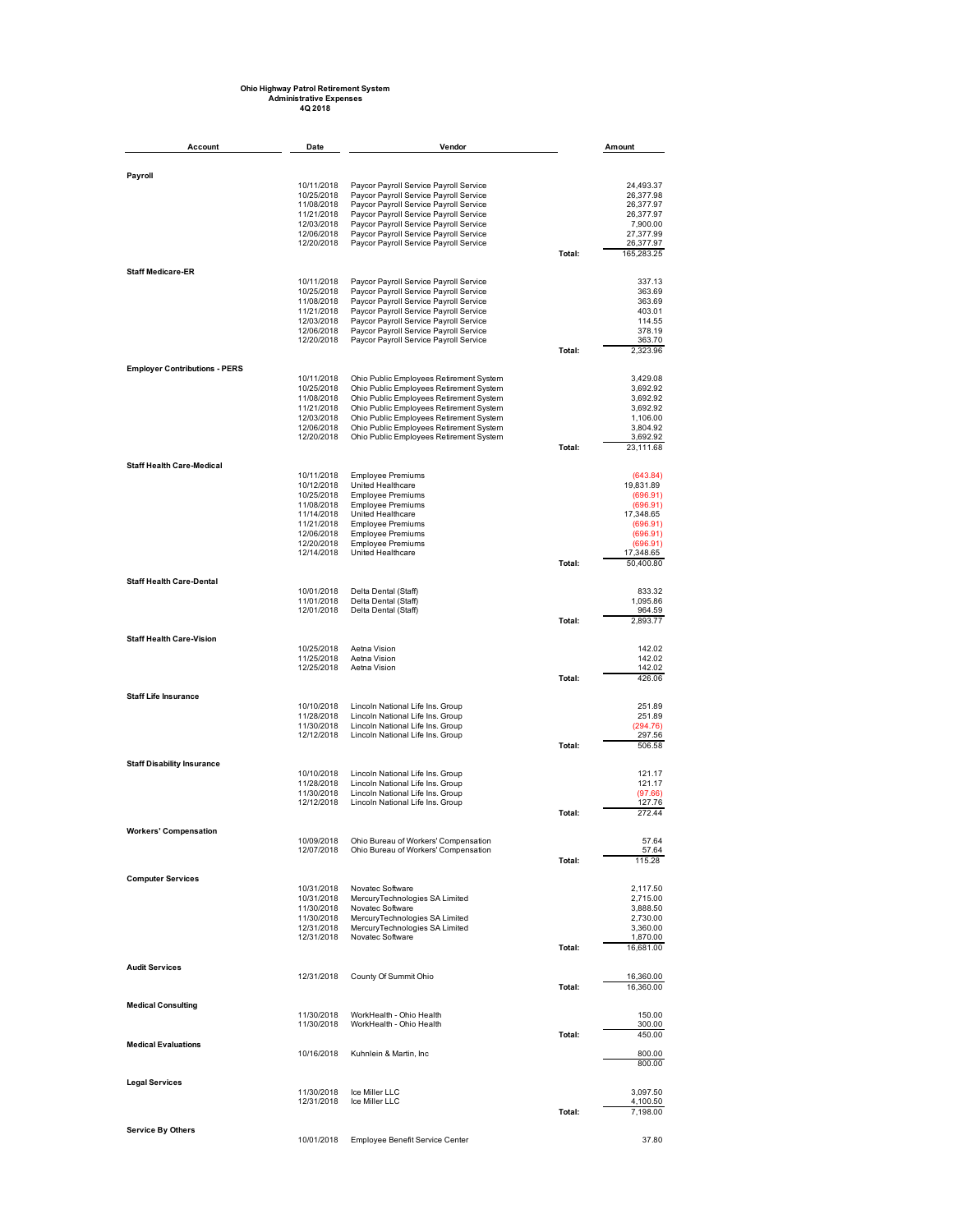## **Ohio Highway Patrol Retirement System Administrative Expenses 4Q 2018**

| Account                              | Date                     | Vendor                                                                             |        | Amount                  |
|--------------------------------------|--------------------------|------------------------------------------------------------------------------------|--------|-------------------------|
|                                      |                          |                                                                                    |        |                         |
| Payroll                              | 10/11/2018               |                                                                                    |        | 24,493.37               |
|                                      | 10/25/2018               | Paycor Payroll Service Payroll Service<br>Paycor Payroll Service Payroll Service   |        | 26,377.98               |
|                                      | 11/08/2018               | Paycor Payroll Service Payroll Service                                             |        | 26,377.97               |
|                                      | 11/21/2018<br>12/03/2018 | Paycor Payroll Service Payroll Service<br>Paycor Payroll Service Payroll Service   |        | 26,377.97<br>7,900.00   |
|                                      | 12/06/2018               | Paycor Payroll Service Payroll Service                                             |        | 27,377.99               |
|                                      | 12/20/2018               | Paycor Payroll Service Payroll Service                                             | Total: | 26,377.97<br>165,283.25 |
| <b>Staff Medicare-ER</b>             |                          |                                                                                    |        |                         |
|                                      | 10/11/2018               | Paycor Payroll Service Payroll Service                                             |        | 337.13                  |
|                                      | 10/25/2018<br>11/08/2018 | Paycor Payroll Service Payroll Service<br>Paycor Payroll Service Payroll Service   |        | 363.69<br>363.69        |
|                                      | 11/21/2018               | Paycor Payroll Service Payroll Service                                             |        | 403.01                  |
|                                      | 12/03/2018<br>12/06/2018 | Paycor Payroll Service Payroll Service<br>Paycor Payroll Service Payroll Service   |        | 114.55<br>378.19        |
|                                      | 12/20/2018               | Paycor Payroll Service Payroll Service                                             | Total: | 363.70<br>2,323.96      |
| <b>Employer Contributions - PERS</b> |                          |                                                                                    |        |                         |
|                                      | 10/11/2018               | Ohio Public Employees Retirement System                                            |        | 3,429.08                |
|                                      | 10/25/2018<br>11/08/2018 | Ohio Public Employees Retirement System<br>Ohio Public Employees Retirement System |        | 3,692.92<br>3,692.92    |
|                                      | 11/21/2018               | Ohio Public Employees Retirement System                                            |        | 3,692.92                |
|                                      | 12/03/2018               | Ohio Public Employees Retirement System                                            |        | 1,106.00                |
|                                      | 12/06/2018<br>12/20/2018 | Ohio Public Employees Retirement System<br>Ohio Public Employees Retirement System |        | 3,804.92<br>3,692.92    |
|                                      |                          |                                                                                    | Total: | 23,111.68               |
| <b>Staff Health Care-Medical</b>     | 10/11/2018               | <b>Employee Premiums</b>                                                           |        | (643.84)                |
|                                      | 10/12/2018               | United Healthcare                                                                  |        | 19,831.89               |
|                                      | 10/25/2018<br>11/08/2018 | <b>Employee Premiums</b><br><b>Employee Premiums</b>                               |        | (696.91)<br>(696.91)    |
|                                      | 11/14/2018               | United Healthcare                                                                  |        | 17,348.65               |
|                                      | 11/21/2018               | <b>Employee Premiums</b>                                                           |        | (696.91)                |
|                                      | 12/06/2018<br>12/20/2018 | <b>Employee Premiums</b><br><b>Employee Premiums</b>                               |        | (696.91)<br>(696.91)    |
|                                      | 12/14/2018               | United Healthcare                                                                  | Total: | 17,348.65<br>50,400.80  |
| <b>Staff Health Care-Dental</b>      |                          |                                                                                    |        |                         |
|                                      | 10/01/2018               | Delta Dental (Staff)                                                               |        | 833.32                  |
|                                      | 11/01/2018               | Delta Dental (Staff)                                                               |        | 1,095.86                |
|                                      | 12/01/2018               | Delta Dental (Staff)                                                               | Total: | 964.59<br>2,893.77      |
| <b>Staff Health Care-Vision</b>      |                          |                                                                                    |        |                         |
|                                      | 10/25/2018               | Aetna Vision                                                                       |        | 142.02                  |
|                                      | 11/25/2018<br>12/25/2018 | Aetna Vision<br>Aetna Vision                                                       |        | 142.02<br>142.02        |
|                                      |                          |                                                                                    | Total: | 426.06                  |
| <b>Staff Life Insurance</b>          |                          |                                                                                    |        |                         |
|                                      | 10/10/2018<br>11/28/2018 | Lincoln National Life Ins. Group<br>Lincoln National Life Ins. Group               |        | 251.89<br>251.89        |
|                                      | 11/30/2018               | Lincoln National Life Ins. Group                                                   |        | (294.76)                |
|                                      | 12/12/2018               | Lincoln National Life Ins. Group                                                   | Total: | 297.56<br>506.58        |
| <b>Staff Disability Insurance</b>    |                          |                                                                                    |        |                         |
|                                      | 10/10/2018               | Lincoln National Life Ins. Group                                                   |        | 121.17                  |
|                                      | 11/28/2018<br>11/30/2018 | Lincoln National Life Ins. Group<br>Lincoln National Life Ins. Group               |        | 121.17<br>(97.66)       |
|                                      | 12/12/2018               | Lincoln National Life Ins. Group                                                   |        | 127.76                  |
|                                      |                          |                                                                                    | Total: | 272.44                  |
| <b>Workers' Compensation</b>         | 10/09/2018               | Ohio Bureau of Workers' Compensation                                               |        | 57.64                   |
|                                      | 12/07/2018               | Ohio Bureau of Workers' Compensation                                               |        | 57.64                   |
|                                      |                          |                                                                                    | Total: | 115.28                  |
| <b>Computer Services</b>             | 10/31/2018               | Novatec Software                                                                   |        | 2,117.50                |
|                                      | 10/31/2018               | MercuryTechnologies SA Limited                                                     |        | 2,715.00                |
|                                      | 11/30/2018<br>11/30/2018 | Novatec Software<br>MercuryTechnologies SA Limited                                 |        | 3,888.50<br>2,730.00    |
|                                      | 12/31/2018               | MercuryTechnologies SA Limited                                                     |        | 3,360.00                |
|                                      | 12/31/2018               | Novatec Software                                                                   | Total: | 1,870.00<br>16,681.00   |
| <b>Audit Services</b>                |                          |                                                                                    |        |                         |
|                                      | 12/31/2018               | County Of Summit Ohio                                                              |        | 16,360.00               |
|                                      |                          |                                                                                    | Total: | 16,360.00               |
| <b>Medical Consulting</b>            | 11/30/2018               | WorkHealth - Ohio Health                                                           |        | 150.00                  |
|                                      | 11/30/2018               | WorkHealth - Ohio Health                                                           |        | 300.00                  |
|                                      |                          |                                                                                    | Total: | 450.00                  |
| <b>Medical Evaluations</b>           | 10/16/2018               | Kuhnlein & Martin, Inc                                                             |        | 800.00                  |
|                                      |                          |                                                                                    |        | 800.00                  |
| <b>Legal Services</b>                | 11/30/2018               | Ice Miller LLC                                                                     |        | 3,097.50                |
|                                      | 12/31/2018               | Ice Miller LLC                                                                     |        | 4,100.50                |
|                                      |                          |                                                                                    | Total: | 7,198.00                |
| <b>Service By Others</b>             | 10/01/2018               | Employee Benefit Service Center                                                    |        | 37.80                   |
|                                      |                          |                                                                                    |        |                         |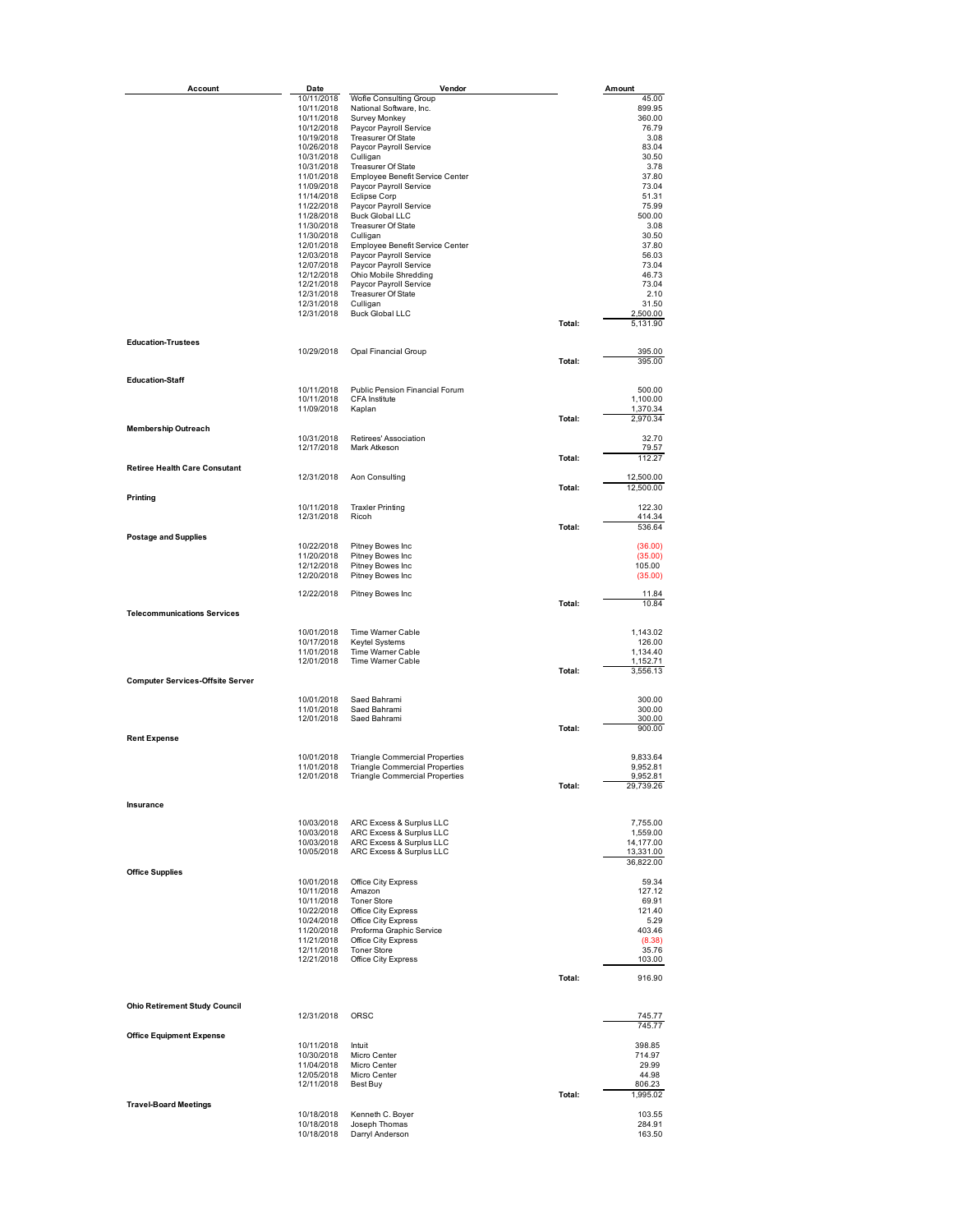| Account                                 | Date                     | Vendor                                               |        | Amount               |
|-----------------------------------------|--------------------------|------------------------------------------------------|--------|----------------------|
|                                         | 10/11/2018               | Wofle Consulting Group                               |        | 45.00                |
|                                         | 10/11/2018               | National Software, Inc.                              |        | 899.95               |
|                                         | 10/11/2018<br>10/12/2018 | Survey Monkey<br>Paycor Payroll Service              |        | 360.00<br>76.79      |
|                                         | 10/19/2018               | Treasurer Of State                                   |        | 3.08                 |
|                                         | 10/26/2018<br>10/31/2018 | Paycor Payroll Service<br>Culligan                   |        | 83.04<br>30.50       |
|                                         | 10/31/2018               | Treasurer Of State                                   |        | 3.78                 |
|                                         | 11/01/2018               | Employee Benefit Service Center                      |        | 37.80                |
|                                         | 11/09/2018<br>11/14/2018 | Paycor Payroll Service<br><b>Eclipse Corp</b>        |        | 73.04<br>51.31       |
|                                         | 11/22/2018               | Paycor Payroll Service                               |        | 75.99                |
|                                         | 11/28/2018               | <b>Buck Global LLC</b>                               |        | 500.00               |
|                                         | 11/30/2018<br>11/30/2018 | Treasurer Of State<br>Culligan                       |        | 3.08<br>30.50        |
|                                         | 12/01/2018               | Employee Benefit Service Center                      |        | 37.80                |
|                                         | 12/03/2018<br>12/07/2018 | Paycor Payroll Service                               |        | 56.03<br>73.04       |
|                                         | 12/12/2018               | Paycor Payroll Service<br>Ohio Mobile Shredding      |        | 46.73                |
|                                         | 12/21/2018               | Paycor Payroll Service                               |        | 73.04                |
|                                         | 12/31/2018<br>12/31/2018 | Treasurer Of State<br>Culligan                       |        | 2.10<br>31.50        |
|                                         | 12/31/2018               | <b>Buck Global LLC</b>                               |        | 2,500.00             |
|                                         |                          |                                                      | Total: | 5,131.90             |
| <b>Education-Trustees</b>               |                          |                                                      |        |                      |
|                                         | 10/29/2018               | Opal Financial Group                                 | Total: | 395.00<br>395.00     |
| <b>Education-Staff</b>                  |                          |                                                      |        |                      |
|                                         | 10/11/2018               | Public Pension Financial Forum                       |        | 500.00               |
|                                         | 10/11/2018               | CFA Institute                                        |        | 1,100.00             |
|                                         | 11/09/2018               | Kaplan                                               | Total: | 1,370.34<br>2,970.34 |
| <b>Membership Outreach</b>              |                          |                                                      |        |                      |
|                                         | 10/31/2018<br>12/17/2018 | Retirees' Association<br>Mark Atkeson                |        | 32.70<br>79.57       |
|                                         |                          |                                                      | Total: | 112.27               |
| <b>Retiree Health Care Consutant</b>    | 12/31/2018               | Aon Consulting                                       |        | 12,500.00            |
|                                         |                          |                                                      | Total: | 12,500.00            |
| Printing                                | 10/11/2018               | <b>Traxler Printing</b>                              |        | 122.30               |
|                                         | 12/31/2018               | Ricoh                                                |        | 414.34               |
|                                         |                          |                                                      | Total: | 536.64               |
| <b>Postage and Supplies</b>             | 10/22/2018               | Pitney Bowes Inc                                     |        | (36.00)              |
|                                         | 11/20/2018               | Pitney Bowes Inc                                     |        | (35.00)              |
|                                         | 12/12/2018               | Pitney Bowes Inc                                     |        | 105.00               |
|                                         | 12/20/2018               | Pitney Bowes Inc                                     |        | (35.00)              |
|                                         | 12/22/2018               | Pitney Bowes Inc                                     | Total: | 11.84<br>10.84       |
| <b>Telecommunications Services</b>      |                          |                                                      |        |                      |
|                                         |                          |                                                      |        |                      |
|                                         | 10/01/2018<br>10/17/2018 | Time Warner Cable<br>Keytel Systems                  |        | 1,143.02<br>126.00   |
|                                         | 11/01/2018               | Time Warner Cable                                    |        | 1,134.40             |
|                                         | 12/01/2018               | Time Warner Cable                                    | Total: | 1,152.71<br>3,556.13 |
| <b>Computer Services-Offsite Server</b> |                          |                                                      |        |                      |
|                                         | 10/01/2018               | Saed Bahrami                                         |        | 300.00               |
|                                         | 11/01/2018               | Saed Bahrami<br>Saed Bahrami                         |        | 300.00               |
|                                         | 12/01/2018               |                                                      | Total: | 300.00<br>900.00     |
| <b>Rent Expense</b>                     |                          |                                                      |        |                      |
|                                         | 10/01/2018               | <b>Triangle Commercial Properties</b>                |        | 9,833.64             |
|                                         | 11/01/2018               | Triangle Commercial Properties                       |        | 9,952.81             |
|                                         | 12/01/2018               | <b>Triangle Commercial Properties</b>                | Total: | 995281<br>29,739.26  |
| Insurance                               |                          |                                                      |        |                      |
|                                         |                          |                                                      |        |                      |
|                                         | 10/03/2018<br>10/03/2018 | ARC Excess & Surplus LLC<br>ARC Excess & Surplus LLC |        | 7,755.00<br>1,559.00 |
|                                         | 10/03/2018               | ARC Excess & Surplus LLC                             |        | 14,177.00            |
|                                         | 10/05/2018               | ARC Excess & Surplus LLC                             |        | 13,331.00            |
| <b>Office Supplies</b>                  |                          |                                                      |        | 36,822.00            |
|                                         | 10/01/2018               | Office City Express                                  |        | 59.34                |
|                                         | 10/11/2018<br>10/11/2018 | Amazon<br><b>Toner Store</b>                         |        | 127.12<br>69.91      |
|                                         | 10/22/2018               | Office City Express                                  |        | 121.40               |
|                                         | 10/24/2018               | Office City Express                                  |        | 5.29                 |
|                                         | 11/20/2018<br>11/21/2018 | Proforma Graphic Service<br>Office City Express      |        | 403.46<br>(8.38)     |
|                                         | 12/11/2018               | <b>Toner Store</b>                                   |        | 35.76                |
|                                         | 12/21/2018               | Office City Express                                  |        | 103.00               |
|                                         |                          |                                                      | Total: | 916.90               |
|                                         |                          |                                                      |        |                      |
| <b>Ohio Retirement Study Council</b>    | 12/31/2018               | ORSC                                                 |        | 745.77               |
| <b>Office Equipment Expense</b>         |                          |                                                      |        | 745.77               |
|                                         | 10/11/2018               | Intuit                                               |        | 398.85               |
|                                         | 10/30/2018<br>11/04/2018 | Micro Center<br>Micro Center                         |        | 714.97<br>29.99      |
|                                         | 12/05/2018               | Micro Center                                         |        | 44.98                |
|                                         | 12/11/2018               | Best Buy                                             |        | 806.23               |
| <b>Travel-Board Meetings</b>            |                          |                                                      | Total: | 1,995.02             |
|                                         | 10/18/2018<br>10/18/2018 | Kenneth C. Boyer<br>Joseph Thomas                    |        | 103.55<br>284.91     |
|                                         | 10/18/2018               | Darryl Anderson                                      |        | 163.50               |
|                                         |                          |                                                      |        |                      |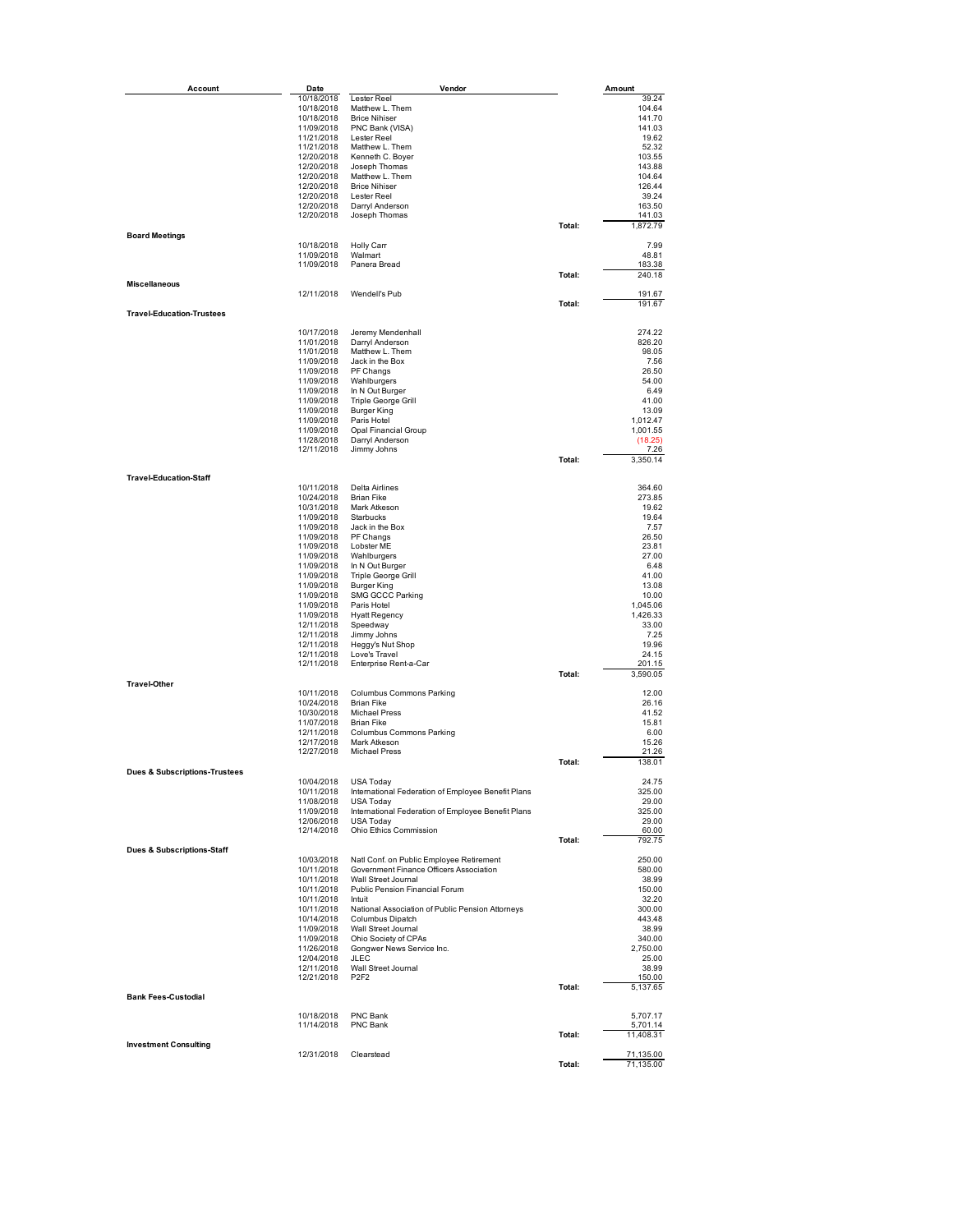| Account                                  | Date                     | Vendor                                                                              |        | Amount              |
|------------------------------------------|--------------------------|-------------------------------------------------------------------------------------|--------|---------------------|
|                                          | 10/18/2018               | Lester Reel                                                                         |        | 39.24               |
|                                          | 10/18/2018<br>10/18/2018 | Matthew L. Them<br><b>Brice Nihiser</b>                                             |        | 104.64<br>141.70    |
|                                          | 11/09/2018               | PNC Bank (VISA)                                                                     |        | 141.03              |
|                                          | 11/21/2018               | Lester Reel                                                                         |        | 19.62               |
|                                          | 11/21/2018<br>12/20/2018 | Matthew L. Them<br>Kenneth C. Boyer                                                 |        | 52.32<br>103.55     |
|                                          | 12/20/2018               | Joseph Thomas                                                                       |        | 143.88              |
|                                          | 12/20/2018<br>12/20/2018 | Matthew L. Them<br><b>Brice Nihiser</b>                                             |        | 104.64<br>126.44    |
|                                          | 12/20/2018               | Lester Reel                                                                         |        | 39.24               |
|                                          | 12/20/2018               | Darryl Anderson                                                                     |        | 163.50              |
|                                          | 12/20/2018               | Joseph Thomas                                                                       | Total: | 141.03<br>1,872.79  |
| <b>Board Meetings</b>                    |                          |                                                                                     |        |                     |
|                                          | 10/18/2018<br>11/09/2018 | Holly Carr<br>Walmart                                                               |        | 7.99<br>48.81       |
|                                          | 11/09/2018               | Panera Bread                                                                        |        | 183.38              |
|                                          |                          |                                                                                     | Total: | 240.18              |
| <b>Miscellaneous</b>                     | 12/11/2018               | Wendell's Pub                                                                       |        | 191.67              |
|                                          |                          |                                                                                     | Total: | 191.67              |
| <b>Travel-Education-Trustees</b>         |                          |                                                                                     |        |                     |
|                                          | 10/17/2018               | Jeremy Mendenhall                                                                   |        | 274.22              |
|                                          | 11/01/2018               | Darryl Anderson                                                                     |        | 826.20              |
|                                          | 11/01/2018<br>11/09/2018 | Matthew L. Them<br>Jack in the Box                                                  |        | 98.05<br>7.56       |
|                                          | 11/09/2018               | PF Changs                                                                           |        | 26.50               |
|                                          | 11/09/2018               | Wahlburgers                                                                         |        | 54.00               |
|                                          | 11/09/2018<br>11/09/2018 | In N Out Burger<br>Triple George Grill                                              |        | 6.49<br>41.00       |
|                                          | 11/09/2018               | Burger King                                                                         |        | 13.09               |
|                                          | 11/09/2018               | Paris Hotel                                                                         |        | 1,012.47            |
|                                          | 11/09/2018<br>11/28/2018 | <b>Opal Financial Group</b><br>Darryl Anderson                                      |        | 1,001.55<br>(18.25) |
|                                          | 12/11/2018               | Jimmy Johns                                                                         |        | 7.26                |
|                                          |                          |                                                                                     | Total: | 3,350.14            |
| <b>Travel-Education-Staff</b>            |                          |                                                                                     |        |                     |
|                                          | 10/11/2018               | Delta Airlines                                                                      |        | 364.60              |
|                                          | 10/24/2018<br>10/31/2018 | <b>Brian Fike</b><br>Mark Atkeson                                                   |        | 273.85<br>19.62     |
|                                          | 11/09/2018               | Starbucks                                                                           |        | 19.64               |
|                                          | 11/09/2018               | Jack in the Box                                                                     |        | 7.57                |
|                                          | 11/09/2018<br>11/09/2018 | PF Changs<br>Lobster ME                                                             |        | 26.50<br>23.81      |
|                                          | 11/09/2018               | Wahlburgers                                                                         |        | 27.00               |
|                                          | 11/09/2018               | In N Out Burger                                                                     |        | 6.48                |
|                                          | 11/09/2018<br>11/09/2018 | Triple George Grill<br>Burger King                                                  |        | 41.00<br>13.08      |
|                                          | 11/09/2018               | <b>SMG GCCC Parking</b>                                                             |        | 10.00               |
|                                          | 11/09/2018               | Paris Hotel                                                                         |        | 1,045.06            |
|                                          | 11/09/2018<br>12/11/2018 | <b>Hyatt Regency</b><br>Speedway                                                    |        | 1,426.33<br>33.00   |
|                                          | 12/11/2018               | Jimmy Johns                                                                         |        | 7.25                |
|                                          | 12/11/2018               | Heggy's Nut Shop                                                                    |        | 19.96               |
|                                          | 12/11/2018<br>12/11/2018 | Love's Travel<br>Enterprise Rent-a-Car                                              |        | 24.15<br>201.15     |
|                                          |                          |                                                                                     | Total: | 3,590.05            |
| <b>Travel-Other</b>                      | 10/11/2018               | Columbus Commons Parking                                                            |        | 12.00               |
|                                          | 10/24/2018               | <b>Brian Fike</b>                                                                   |        | 26.16               |
|                                          | 10/30/2018               | <b>Michael Press</b>                                                                |        | 41.52               |
|                                          | 11/07/2018<br>12/11/2018 | <b>Brian Fike</b><br><b>Columbus Commons Parking</b>                                |        | 15.81<br>6.00       |
|                                          | 12/17/2018               | Mark Atkeson                                                                        |        | 15.26               |
|                                          | 12/27/2018               | <b>Michael Press</b>                                                                | Total: | 21.26               |
| <b>Dues &amp; Subscriptions-Trustees</b> |                          |                                                                                     |        | 138.01              |
|                                          | 10/04/2018               | USA Today                                                                           |        | 24.75               |
|                                          | 10/11/2018<br>11/08/2018 | International Federation of Employee Benefit Plans<br>USA Today                     |        | 325.00<br>29.00     |
|                                          | 11/09/2018               | International Federation of Employee Benefit Plans                                  |        | 325.00              |
|                                          | 12/06/2018<br>12/14/2018 | <b>USA Today</b><br>Ohio Ethics Commission                                          |        | 29.00<br>60.00      |
|                                          |                          |                                                                                     | Total: | 792.75              |
| Dues & Subscriptions-Staff               |                          |                                                                                     |        |                     |
|                                          | 10/03/2018<br>10/11/2018 | Natl Conf. on Public Employee Retirement<br>Government Finance Officers Association |        | 250.00<br>580.00    |
|                                          | 10/11/2018               | Wall Street Journal                                                                 |        | 38.99               |
|                                          | 10/11/2018               | Public Pension Financial Forum                                                      |        | 150.00              |
|                                          | 10/11/2018<br>10/11/2018 | Intuit<br>National Association of Public Pension Attorneys                          |        | 32.20<br>300.00     |
|                                          | 10/14/2018               | Columbus Dipatch                                                                    |        | 443.48              |
|                                          | 11/09/2018<br>11/09/2018 | Wall Street Journal<br>Ohio Society of CPAs                                         |        | 38.99<br>340.00     |
|                                          | 11/26/2018               | Gongwer News Service Inc.                                                           |        | 2,750.00            |
|                                          | 12/04/2018               | <b>JLEC</b>                                                                         |        | 25.00               |
|                                          | 12/11/2018<br>12/21/2018 | Wall Street Journal<br>P <sub>2F2</sub>                                             |        | 38.99<br>150.00     |
|                                          |                          |                                                                                     | Total: | 5,137.65            |
| <b>Bank Fees-Custodial</b>               |                          |                                                                                     |        |                     |
|                                          | 10/18/2018               | <b>PNC Bank</b>                                                                     |        | 5,707.17            |
|                                          | 11/14/2018               | <b>PNC Bank</b>                                                                     |        | 5,701.14            |
| <b>Investment Consulting</b>             |                          |                                                                                     | Total: | 11,408.31           |
|                                          | 12/31/2018               | Clearstead                                                                          |        | 71,135.00           |
|                                          |                          |                                                                                     | Total: | 71,135.00           |